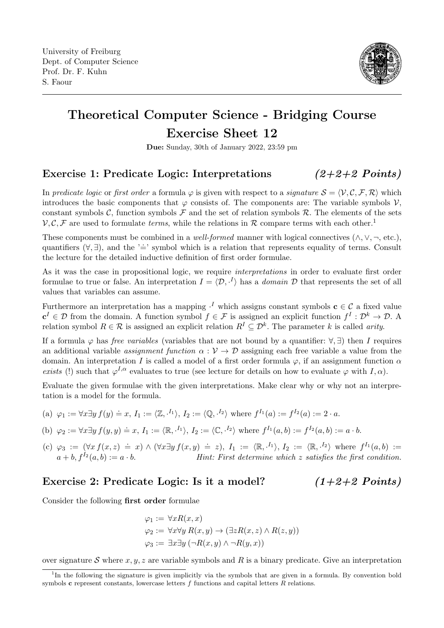

# Theoretical Computer Science - Bridging Course Exercise Sheet 12

Due: Sunday, 30th of January 2022, 23:59 pm

## Exercise 1: Predicate Logic: Interpretations  $(2+2+2$  Points)

In predicate logic or first order a formula  $\varphi$  is given with respect to a signature  $S = \langle V, C, F, R \rangle$  which introduces the basic components that  $\varphi$  consists of. The components are: The variable symbols  $\mathcal{V}$ . constant symbols C, function symbols  $\mathcal F$  and the set of relation symbols  $\mathcal R$ . The elements of the sets  $V, C, F$  are used to formulate *terms*, while the relations in R compare terms with each other.<sup>[1](#page-0-0)</sup>

These components must be combined in a *well-formed* manner with logical connectives  $(\wedge, \vee, \neg, \text{etc.})$ , quantifiers  $(\forall, \exists)$ , and the ' $\dot{=}$ ' symbol which is a relation that represents equality of terms. Consult the lecture for the detailed inductive definition of first order formulae.

As it was the case in propositional logic, we require *interpretations* in order to evaluate first order formulae to true or false. An interpretation  $I = \langle \mathcal{D}, \cdot^I \rangle$  has a *domain*  $\mathcal D$  that represents the set of all values that variables can assume.

Furthermore an interpretation has a mapping  $\cdot^I$  which assigns constant symbols  $c \in C$  a fixed value  $\mathbf{c}^I \in \mathcal{D}$  from the domain. A function symbol  $f \in \mathcal{F}$  is assigned an explicit function  $f^I: \mathcal{D}^k \to \mathcal{D}$ . A relation symbol  $R \in \mathcal{R}$  is assigned an explicit relation  $R^I \subseteq \mathcal{D}^k$ . The parameter k is called *arity*.

If a formula  $\varphi$  has *free variables* (variables that are not bound by a quantifier:  $\forall$ ,  $\exists$ ) then I requires an additional variable *assignment function*  $\alpha : V \to D$  assigning each free variable a value from the domain. An interpretation I is called a model of a first order formula  $\varphi$ , if an assignment function  $\alpha$ exists (!) such that  $\varphi^{I,\alpha}$  evaluates to true (see lecture for details on how to evaluate  $\varphi$  with  $I,\alpha$ ).

Evaluate the given formulae with the given interpretations. Make clear why or why not an interpretation is a model for the formula.

- (a)  $\varphi_1 := \forall x \exists y f(y) \doteq x, I_1 := \langle \mathbb{Z}, \cdot^{I_1} \rangle, I_2 := \langle \mathbb{Q}, \cdot^{I_2} \rangle$  where  $f^{I_1}(a) := f^{I_2}(a) := 2 \cdot a$ .
- (b)  $\varphi_2 := \forall x \exists y f(y, y) = x, I_1 := \langle \mathbb{R}, \cdot^{I_1} \rangle, I_2 := \langle \mathbb{C}, \cdot^{I_2} \rangle$  where  $f^{I_1}(a, b) := f^{I_2}(a, b) := a \cdot b$ .
- (c)  $\varphi_3 := (\forall x f(x, z) \doteq x) \land (\forall x \exists y f(x, y) \doteq z), I_1 := \langle \mathbb{R}, \cdot^{I_1} \rangle, I_2 := \langle \mathbb{R}, \cdot^{I_2} \rangle$  where  $f^{I_1}(a, b) :=$  $a + b$ ,  $f^{I_2}(a, b) := a \cdot b$ . Hint: First determine which z satisfies the first condition.

## Exercise 2: Predicate Logic: Is it a model?  $(1+2+2$  Points)

Consider the following first order formulae

$$
\varphi_1 := \forall x R(x, x)
$$
  
\n
$$
\varphi_2 := \forall x \forall y R(x, y) \rightarrow (\exists z R(x, z) \land R(z, y))
$$
  
\n
$$
\varphi_3 := \exists x \exists y (\neg R(x, y) \land \neg R(y, x))
$$

over signature S where x, y, z are variable symbols and R is a binary predicate. Give an interpretation

<span id="page-0-0"></span><sup>&</sup>lt;sup>1</sup>In the following the signature is given implicitly via the symbols that are given in a formula. By convention bold symbols c represent constants, lowercase letters  $f$  functions and capital letters  $R$  relations.